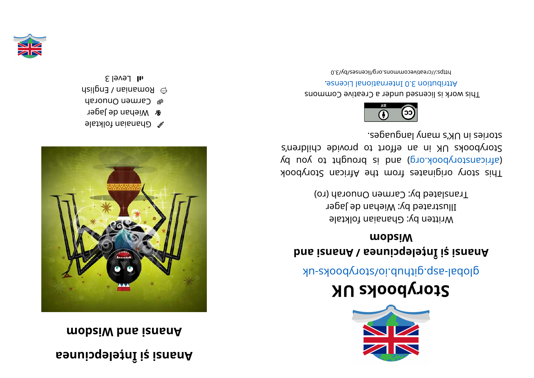## **aenui cpel eț nÎi și <sup>s</sup> nanA mobsiW** bna *i* and  $A$



- $\bullet$  Ghanaian folktale
- **r** Wiehan de Jager
- men Onuorah
- **manian / English**
- $s$ l Level 3



## **KUskoobyr otS**

global-aspook side side side should a side as

## **dnai <sup>s</sup> nanA/ aenui cpel eț nÎi și <sup>s</sup> nanA modsi W**

Written by: Ghanaian folktale Illustrated by: Wiehan de Jager Translated by: Carmen Onuorah (ro)

kood yot sidinates trom the African Storybook yd uoy ot triguor b b si b si grow (grow by day of an international strategy of an internal and  $\alpha$ Storybooks UK in an effort to provide children's segaugnal ynam langbes.



This work is licensed under a Creative Commons . esnecial lanoit anternational License.

0. E\vd\zesrivecommons.org/licenses/by/3.0

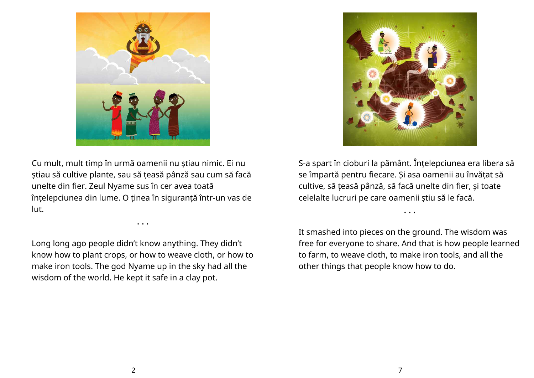



Cu mult, mult timp în urmă oamenii nu știau nimic. Ei nu știau să cultive plante, sau să țeasă pânză sau cum să facă unelte din fier. Zeul Nyame sus în cer avea toată înțelepciunea din lume. O ținea în siguranță într-un vas de lut.

Long long ago people didn't know anything. They didn't know how to plant crops, or how to weave cloth, or how to make iron tools. The god Nyame up in the sky had all the wisdom of the world. He kept it safe in a clay pot.

• • •

S-a spart în cioburi la pământ. Înțelepciunea era libera să se împartă pentru fiecare. Și asa oamenii au învățat să cultive, să țeasă pânză, să facă unelte din fier, și toate celelalte lucruri pe care oamenii știu să le facă.

• • •

It smashed into pieces on the ground. The wisdom was free for everyone to share. And that is how people learned to farm, to weave cloth, to make iron tools, and all the other things that people know how to do.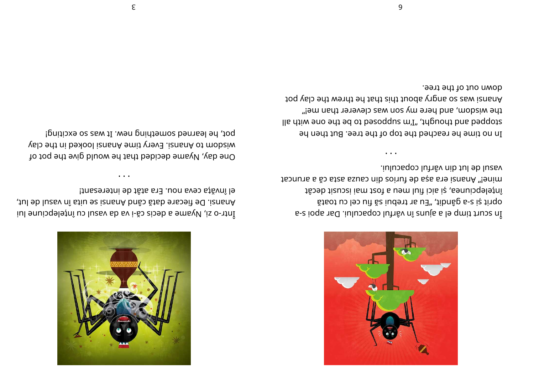

el învăța ceva nou. Era atât de interesant! Anansi. De fiecare dată când Anansi se uita în vasul de lut, Inl snuisqeleand and reselling the danance lui

 $\cdots$ 

pot, he learned something new. It was so exciting! wisdom to Anansi. Every time Anansi looked in the clay One day, Nyame decided that he would give the pot of



vasul de lut din vârful copacului. mine!" Anansi era așa de furios din cauza asta că a aruncat înțelepciunea, și aici fiul meu a fost mai iscusit decât staot us les uit ăz iudert na ", tibnâg s-a iș tinqo s-e ioqs nsd .iulupsqob lutnŝv nî znujs s le qmit trupe ni

down out of the tree. Anansi was so angry about this that he threw the clay pot the wisdom, and here my son was cleverer than me!" lla diiw ano adi ad oi bazoqque m'I", dipuodi bna baqqoiz In no time he reached the top of the tree. But then he